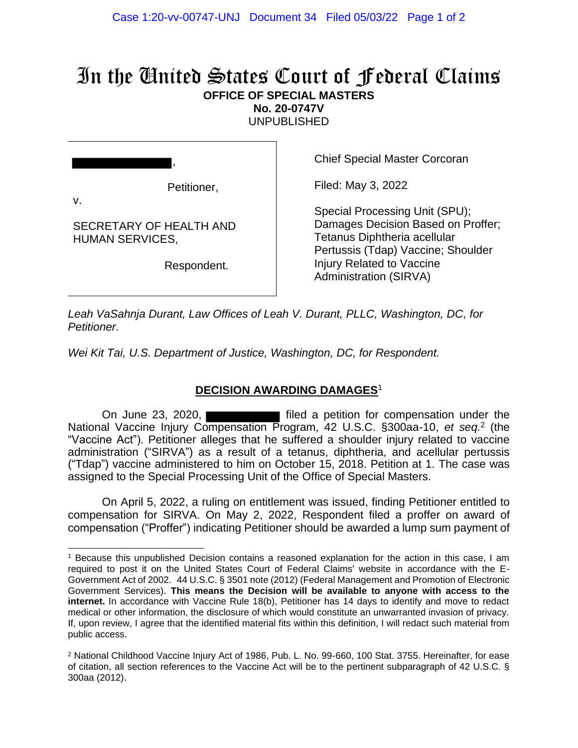# In the United States Court of Federal Claims **OFFICE OF SPECIAL MASTERS**

**No. 20-0747V**

UNPUBLISHED

v.

Petitioner,

,

SECRETARY OF HEALTH AND HUMAN SERVICES,

Respondent.

Chief Special Master Corcoran

Filed: May 3, 2022

Special Processing Unit (SPU); Damages Decision Based on Proffer; Tetanus Diphtheria acellular Pertussis (Tdap) Vaccine; Shoulder Injury Related to Vaccine Administration (SIRVA)

*Leah VaSahnja Durant, Law Offices of Leah V. Durant, PLLC, Washington, DC, for Petitioner.*

*Wei Kit Tai, U.S. Department of Justice, Washington, DC, for Respondent.*

### **DECISION AWARDING DAMAGES**<sup>1</sup>

On June 23, 2020, National Vaccine Injury Compensation Program, 42 U.S.C. §300aa-10, *et seq.*<sup>2</sup> (the "Vaccine Act"). Petitioner alleges that he suffered a shoulder injury related to vaccine administration ("SIRVA") as a result of a tetanus, diphtheria, and acellular pertussis ("Tdap") vaccine administered to him on October 15, 2018. Petition at 1. The case was assigned to the Special Processing Unit of the Office of Special Masters.

On April 5, 2022, a ruling on entitlement was issued, finding Petitioner entitled to compensation for SIRVA. On May 2, 2022, Respondent filed a proffer on award of compensation ("Proffer") indicating Petitioner should be awarded a lump sum payment of

<sup>1</sup> Because this unpublished Decision contains a reasoned explanation for the action in this case, I am required to post it on the United States Court of Federal Claims' website in accordance with the E-Government Act of 2002. 44 U.S.C. § 3501 note (2012) (Federal Management and Promotion of Electronic Government Services). **This means the Decision will be available to anyone with access to the internet.** In accordance with Vaccine Rule 18(b), Petitioner has 14 days to identify and move to redact medical or other information, the disclosure of which would constitute an unwarranted invasion of privacy. If, upon review, I agree that the identified material fits within this definition, I will redact such material from public access.

<sup>2</sup> National Childhood Vaccine Injury Act of 1986, Pub. L. No. 99-660, 100 Stat. 3755. Hereinafter, for ease of citation, all section references to the Vaccine Act will be to the pertinent subparagraph of 42 U.S.C. § 300aa (2012).